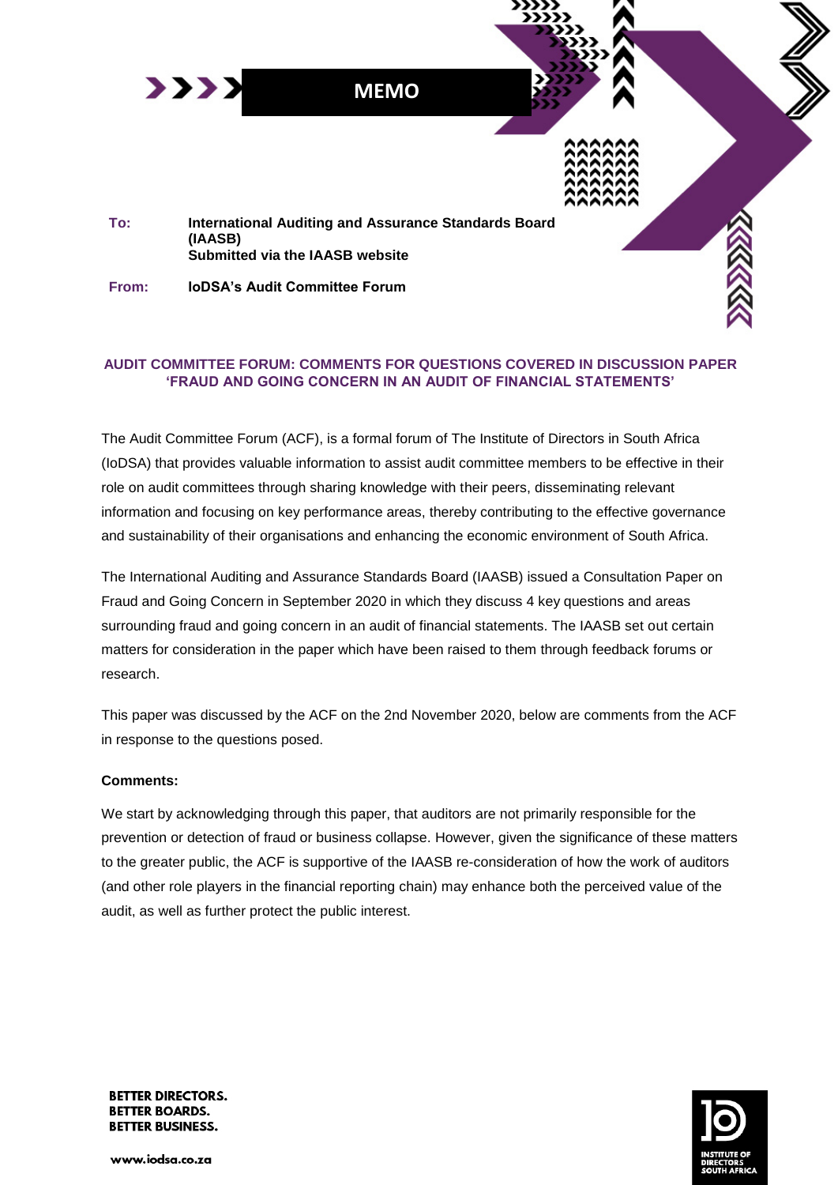

### **AUDIT COMMITTEE FORUM: COMMENTS FOR QUESTIONS COVERED IN DISCUSSION PAPER 'FRAUD AND GOING CONCERN IN AN AUDIT OF FINANCIAL STATEMENTS'**

The Audit Committee Forum (ACF), is a formal forum of The Institute of Directors in South Africa (IoDSA) that provides valuable information to assist audit committee members to be effective in their role on audit committees through sharing knowledge with their peers, disseminating relevant information and focusing on key performance areas, thereby contributing to the effective governance and sustainability of their organisations and enhancing the economic environment of South Africa.

The International Auditing and Assurance Standards Board (IAASB) issued a Consultation Paper on Fraud and Going Concern in September 2020 in which they discuss 4 key questions and areas surrounding fraud and going concern in an audit of financial statements. The IAASB set out certain matters for consideration in the paper which have been raised to them through feedback forums or research.

This paper was discussed by the ACF on the 2nd November 2020, below are comments from the ACF in response to the questions posed.

### **Comments:**

We start by acknowledging through this paper, that auditors are not primarily responsible for the prevention or detection of fraud or business collapse. However, given the significance of these matters to the greater public, the ACF is supportive of the IAASB re-consideration of how the work of auditors (and other role players in the financial reporting chain) may enhance both the perceived value of the audit, as well as further protect the public interest.



**BETTER DIRECTORS. BETTER BOARDS. BETTER BUSINESS.** 

www.iodsa.co.za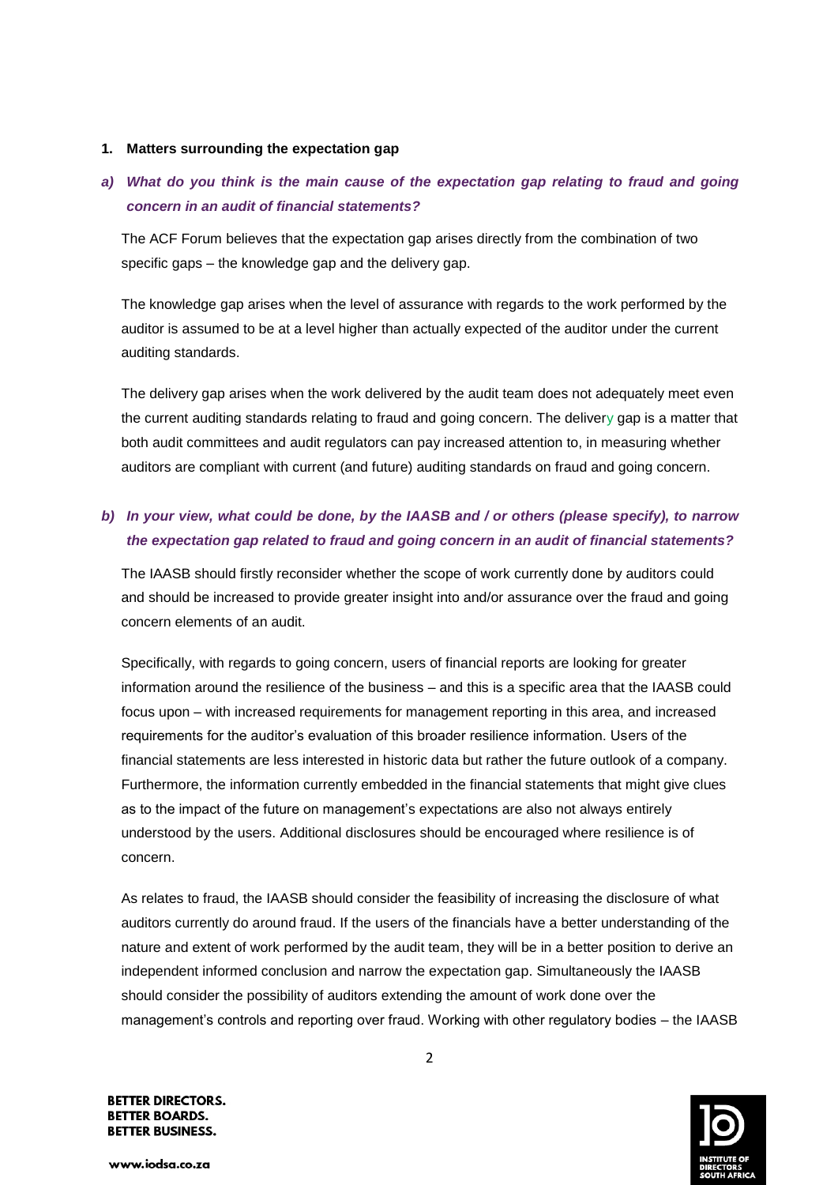#### **1. Matters surrounding the expectation gap**

## *a) What do you think is the main cause of the expectation gap relating to fraud and going concern in an audit of financial statements?*

The ACF Forum believes that the expectation gap arises directly from the combination of two specific gaps – the knowledge gap and the delivery gap.

The knowledge gap arises when the level of assurance with regards to the work performed by the auditor is assumed to be at a level higher than actually expected of the auditor under the current auditing standards.

The delivery gap arises when the work delivered by the audit team does not adequately meet even the current auditing standards relating to fraud and going concern. The delivery gap is a matter that both audit committees and audit regulators can pay increased attention to, in measuring whether auditors are compliant with current (and future) auditing standards on fraud and going concern.

### *b) In your view, what could be done, by the IAASB and / or others (please specify), to narrow the expectation gap related to fraud and going concern in an audit of financial statements?*

The IAASB should firstly reconsider whether the scope of work currently done by auditors could and should be increased to provide greater insight into and/or assurance over the fraud and going concern elements of an audit.

Specifically, with regards to going concern, users of financial reports are looking for greater information around the resilience of the business – and this is a specific area that the IAASB could focus upon – with increased requirements for management reporting in this area, and increased requirements for the auditor's evaluation of this broader resilience information. Users of the financial statements are less interested in historic data but rather the future outlook of a company. Furthermore, the information currently embedded in the financial statements that might give clues as to the impact of the future on management's expectations are also not always entirely understood by the users. Additional disclosures should be encouraged where resilience is of concern.

As relates to fraud, the IAASB should consider the feasibility of increasing the disclosure of what auditors currently do around fraud. If the users of the financials have a better understanding of the nature and extent of work performed by the audit team, they will be in a better position to derive an independent informed conclusion and narrow the expectation gap. Simultaneously the IAASB should consider the possibility of auditors extending the amount of work done over the management's controls and reporting over fraud. Working with other regulatory bodies – the IAASB

**BETTER DIRECTORS. BETTER BOARDS. BETTER BUSINESS.** 

www.iodsa.co.za

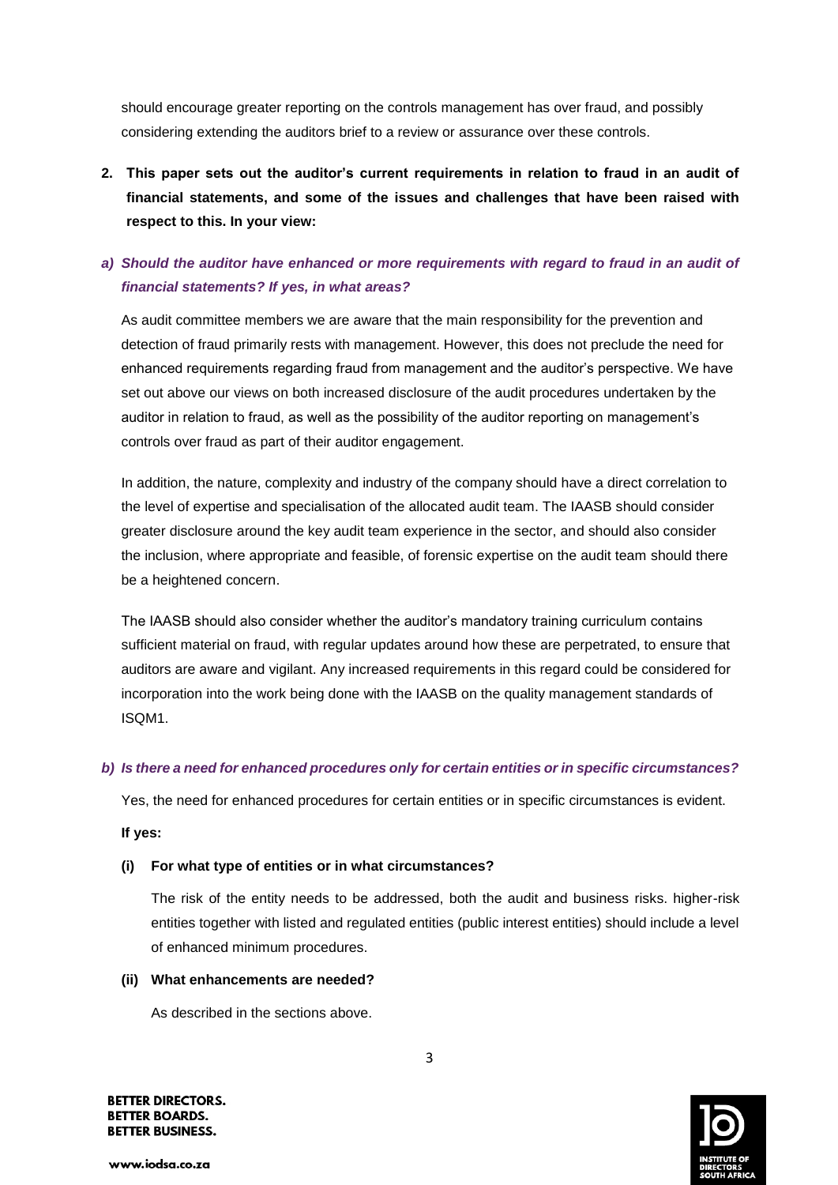should encourage greater reporting on the controls management has over fraud, and possibly considering extending the auditors brief to a review or assurance over these controls.

**2. This paper sets out the auditor's current requirements in relation to fraud in an audit of financial statements, and some of the issues and challenges that have been raised with respect to this. In your view:**

### *a) Should the auditor have enhanced or more requirements with regard to fraud in an audit of financial statements? If yes, in what areas?*

As audit committee members we are aware that the main responsibility for the prevention and detection of fraud primarily rests with management. However, this does not preclude the need for enhanced requirements regarding fraud from management and the auditor's perspective. We have set out above our views on both increased disclosure of the audit procedures undertaken by the auditor in relation to fraud, as well as the possibility of the auditor reporting on management's controls over fraud as part of their auditor engagement.

In addition, the nature, complexity and industry of the company should have a direct correlation to the level of expertise and specialisation of the allocated audit team. The IAASB should consider greater disclosure around the key audit team experience in the sector, and should also consider the inclusion, where appropriate and feasible, of forensic expertise on the audit team should there be a heightened concern.

The IAASB should also consider whether the auditor's mandatory training curriculum contains sufficient material on fraud, with regular updates around how these are perpetrated, to ensure that auditors are aware and vigilant. Any increased requirements in this regard could be considered for incorporation into the work being done with the IAASB on the quality management standards of ISQM1.

### *b) Is there a need for enhanced procedures only for certain entities or in specific circumstances?*

Yes, the need for enhanced procedures for certain entities or in specific circumstances is evident.

### **If yes:**

### **(i) For what type of entities or in what circumstances?**

The risk of the entity needs to be addressed, both the audit and business risks. higher-risk entities together with listed and regulated entities (public interest entities) should include a level of enhanced minimum procedures.

### **(ii) What enhancements are needed?**

As described in the sections above.

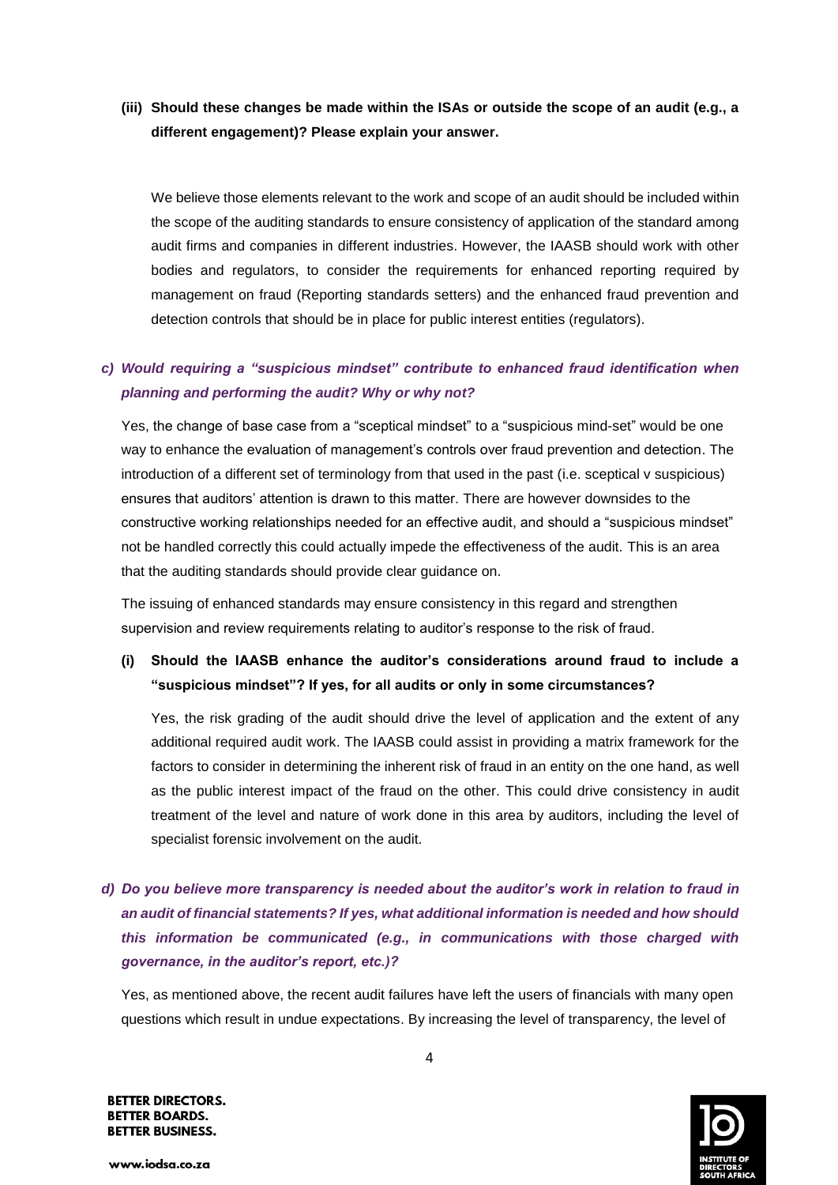### **(iii) Should these changes be made within the ISAs or outside the scope of an audit (e.g., a different engagement)? Please explain your answer.**

We believe those elements relevant to the work and scope of an audit should be included within the scope of the auditing standards to ensure consistency of application of the standard among audit firms and companies in different industries. However, the IAASB should work with other bodies and regulators, to consider the requirements for enhanced reporting required by management on fraud (Reporting standards setters) and the enhanced fraud prevention and detection controls that should be in place for public interest entities (regulators).

### *c) Would requiring a "suspicious mindset" contribute to enhanced fraud identification when planning and performing the audit? Why or why not?*

Yes, the change of base case from a "sceptical mindset" to a "suspicious mind-set" would be one way to enhance the evaluation of management's controls over fraud prevention and detection. The introduction of a different set of terminology from that used in the past (i.e. sceptical v suspicious) ensures that auditors' attention is drawn to this matter. There are however downsides to the constructive working relationships needed for an effective audit, and should a "suspicious mindset" not be handled correctly this could actually impede the effectiveness of the audit. This is an area that the auditing standards should provide clear guidance on.

The issuing of enhanced standards may ensure consistency in this regard and strengthen supervision and review requirements relating to auditor's response to the risk of fraud.

## **(i) Should the IAASB enhance the auditor's considerations around fraud to include a "suspicious mindset"? If yes, for all audits or only in some circumstances?**

Yes, the risk grading of the audit should drive the level of application and the extent of any additional required audit work. The IAASB could assist in providing a matrix framework for the factors to consider in determining the inherent risk of fraud in an entity on the one hand, as well as the public interest impact of the fraud on the other. This could drive consistency in audit treatment of the level and nature of work done in this area by auditors, including the level of specialist forensic involvement on the audit.

*d) Do you believe more transparency is needed about the auditor's work in relation to fraud in an audit of financial statements? If yes, what additional information is needed and how should this information be communicated (e.g., in communications with those charged with governance, in the auditor's report, etc.)?* 

Yes, as mentioned above, the recent audit failures have left the users of financials with many open questions which result in undue expectations. By increasing the level of transparency, the level of

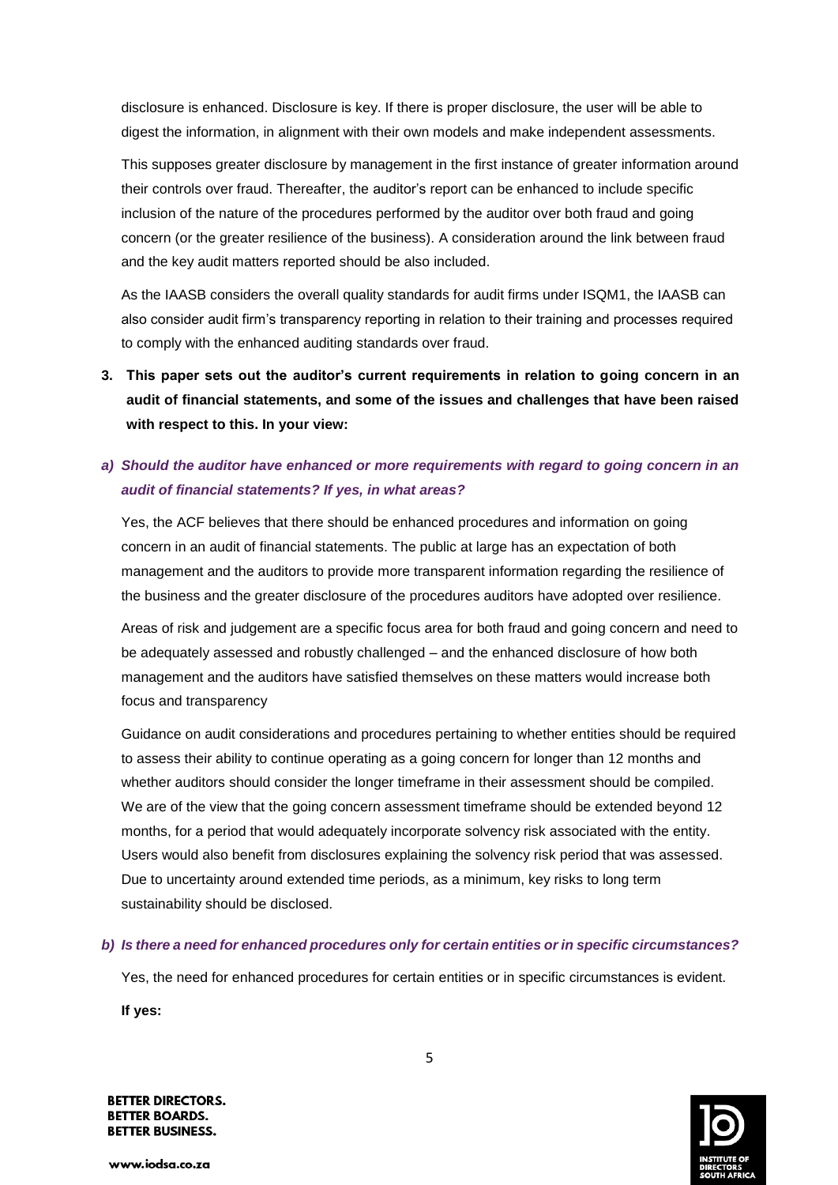disclosure is enhanced. Disclosure is key. If there is proper disclosure, the user will be able to digest the information, in alignment with their own models and make independent assessments.

This supposes greater disclosure by management in the first instance of greater information around their controls over fraud. Thereafter, the auditor's report can be enhanced to include specific inclusion of the nature of the procedures performed by the auditor over both fraud and going concern (or the greater resilience of the business). A consideration around the link between fraud and the key audit matters reported should be also included.

As the IAASB considers the overall quality standards for audit firms under ISQM1, the IAASB can also consider audit firm's transparency reporting in relation to their training and processes required to comply with the enhanced auditing standards over fraud.

**3. This paper sets out the auditor's current requirements in relation to going concern in an audit of financial statements, and some of the issues and challenges that have been raised with respect to this. In your view:**

## *a) Should the auditor have enhanced or more requirements with regard to going concern in an audit of financial statements? If yes, in what areas?*

Yes, the ACF believes that there should be enhanced procedures and information on going concern in an audit of financial statements. The public at large has an expectation of both management and the auditors to provide more transparent information regarding the resilience of the business and the greater disclosure of the procedures auditors have adopted over resilience.

Areas of risk and judgement are a specific focus area for both fraud and going concern and need to be adequately assessed and robustly challenged – and the enhanced disclosure of how both management and the auditors have satisfied themselves on these matters would increase both focus and transparency

Guidance on audit considerations and procedures pertaining to whether entities should be required to assess their ability to continue operating as a going concern for longer than 12 months and whether auditors should consider the longer timeframe in their assessment should be compiled. We are of the view that the going concern assessment timeframe should be extended beyond 12 months, for a period that would adequately incorporate solvency risk associated with the entity. Users would also benefit from disclosures explaining the solvency risk period that was assessed. Due to uncertainty around extended time periods, as a minimum, key risks to long term sustainability should be disclosed.

### *b) Is there a need for enhanced procedures only for certain entities or in specific circumstances?*

Yes, the need for enhanced procedures for certain entities or in specific circumstances is evident.

**If yes:**

**BETTER DIRECTORS. BETTER BOARDS. BETTER BUSINESS.** 

www.iodsa.co.za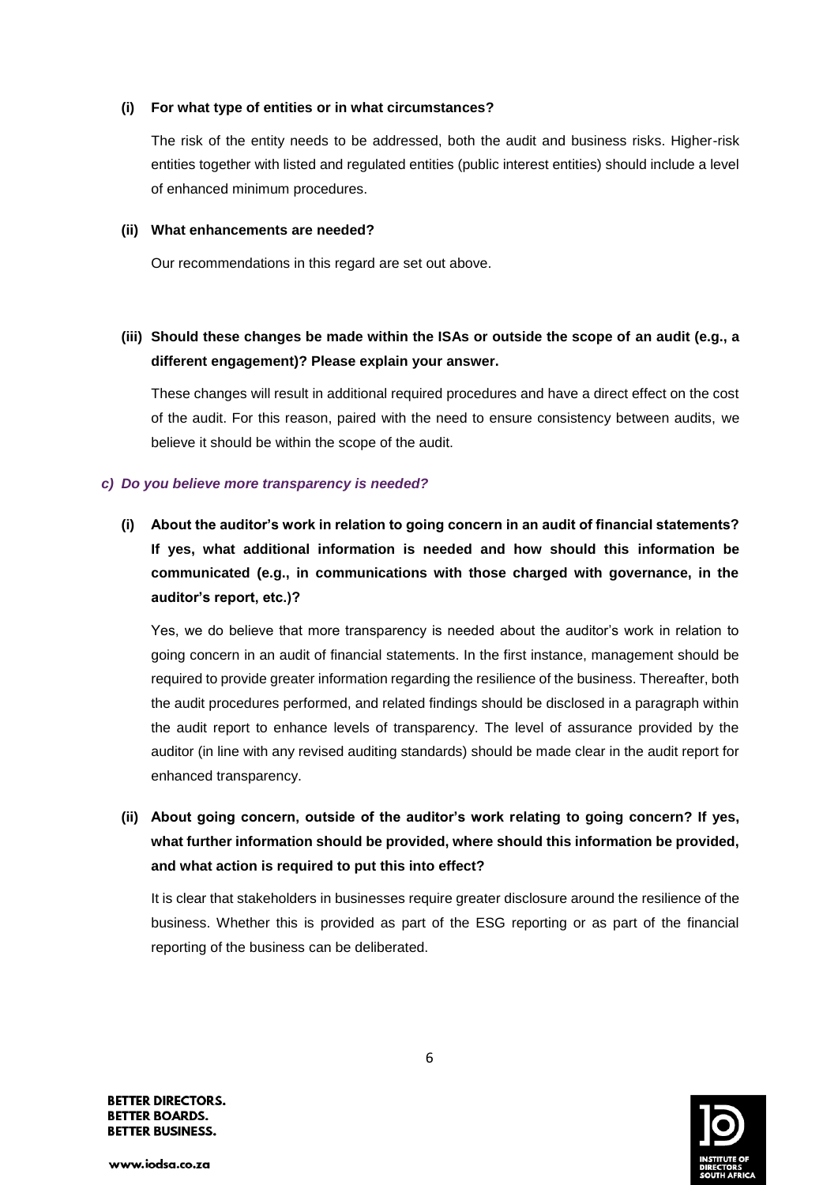### **(i) For what type of entities or in what circumstances?**

The risk of the entity needs to be addressed, both the audit and business risks. Higher-risk entities together with listed and regulated entities (public interest entities) should include a level of enhanced minimum procedures.

#### **(ii) What enhancements are needed?**

Our recommendations in this regard are set out above.

### **(iii) Should these changes be made within the ISAs or outside the scope of an audit (e.g., a different engagement)? Please explain your answer.**

These changes will result in additional required procedures and have a direct effect on the cost of the audit. For this reason, paired with the need to ensure consistency between audits, we believe it should be within the scope of the audit.

### *c) Do you believe more transparency is needed?*

**(i) About the auditor's work in relation to going concern in an audit of financial statements? If yes, what additional information is needed and how should this information be communicated (e.g., in communications with those charged with governance, in the auditor's report, etc.)?** 

Yes, we do believe that more transparency is needed about the auditor's work in relation to going concern in an audit of financial statements. In the first instance, management should be required to provide greater information regarding the resilience of the business. Thereafter, both the audit procedures performed, and related findings should be disclosed in a paragraph within the audit report to enhance levels of transparency. The level of assurance provided by the auditor (in line with any revised auditing standards) should be made clear in the audit report for enhanced transparency.

**(ii) About going concern, outside of the auditor's work relating to going concern? If yes, what further information should be provided, where should this information be provided, and what action is required to put this into effect?** 

It is clear that stakeholders in businesses require greater disclosure around the resilience of the business. Whether this is provided as part of the ESG reporting or as part of the financial reporting of the business can be deliberated.